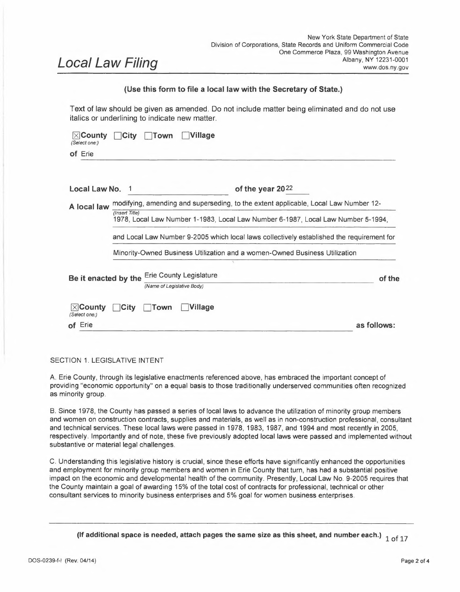# *Local Law Filing*

# **(Use this form to file <sup>a</sup> local law with the Secretary of State.)**

Text of law should be given as amended. Do not include matter being eliminated and do not use italics or underlining to indicate new matter.

| $\times$ County<br>(Select one:)   | Village<br>City<br>Town                                                                            |             |  |  |  |
|------------------------------------|----------------------------------------------------------------------------------------------------|-------------|--|--|--|
| of Erie                            |                                                                                                    |             |  |  |  |
| Local Law No.                      | of the year 2022                                                                                   |             |  |  |  |
| A local law                        | modifying, amending and superseding, to the extent applicable, Local Law Number 12-                |             |  |  |  |
|                                    | (Insert Title)<br>1978, Local Law Number 1-1983, Local Law Number 6-1987, Local Law Number 5-1994, |             |  |  |  |
|                                    | and Local Law Number 9-2005 which local laws collectively established the requirement for          |             |  |  |  |
|                                    | Minority-Owned Business Utilization and a women-Owned Business Utilization                         |             |  |  |  |
| Be it enacted by the               | <b>Erie County Legislature</b><br>(Name of Legislative Body)                                       | of the      |  |  |  |
| $ \times $ County<br>(Select one:) | <b>Village</b><br><b>City</b><br>Town                                                              |             |  |  |  |
| of Erie                            |                                                                                                    | as follows: |  |  |  |

# SECTION 1. LEGISLATIVE INTENT

A. Erie County, through its legislative enactments referenced above, has embraced the important concept of providing "economic opportunity" on <sup>a</sup> equal basis to those traditionally underserved communities often recognized as minority group.

B. Since 1978, the County has passed <sup>a</sup> series of local laws to advance the utilization of minority group members and women on construction contracts, supplies and materials, as well as in non-construction professional, consultant and technical services. These local laws were passed in 1978, 1983, 1987, and 1994 and most recently in 2005, respectively. Importantly and of note, these five previously adopted local laws were passed and implemented without substantive or material legal challenges.

C. Understanding this legislative history is crucial, since these efforts have significantly enhanced the opportunities and employment for minority group members and women in Erie County that turn, has had <sup>a</sup> substantial positive impact on the economic and developmental health of the community. Presently, Local Law No. 9-2005 requires that the County maintain a goal of awarding 15% of the total cost of contracts for professional, technical or other consultant services to minority business enterprises and 5% goal for women business enterprises.

**(If additional space is needed, attach pages the same size as this sheet, and number each.)** 1 of 17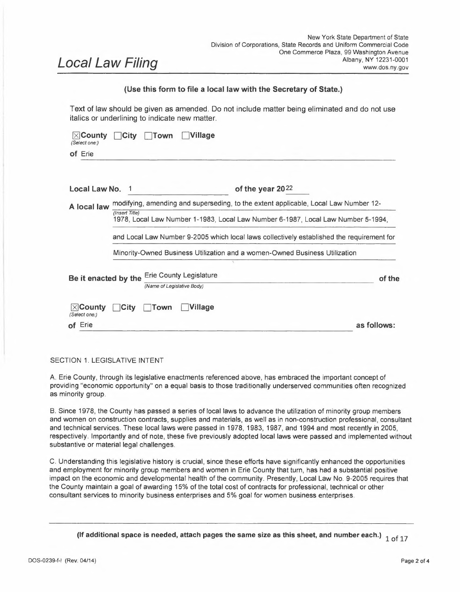- D. Over the past ten years, New York State, counties within New York, and other municipalities have made strides to improve the racial and gender diversity of the beneficiaries of local government development projects. New York State and other municipalities have modernized minority and women-owned business enterprise utilization goals to strengthen the effort to eliminate racial and gender disparities in economic development spending of public dollars.
- E. Since the Spring of 2020, our nation has been confronted with an economic and health crisis caused by a once in a generation pandemic and an historic movement seeking justice related to the exposure of the societal costs of systemic racism. While much progress has been made, recent events result in the County's urgent need to promote and modernize progress in including minority and women business enterprises in County contracting and also seeks to achieve greater employment opportunities for minorities and women in the County workforce through efforts to encourage hiring by firms awarded County contracts. This Local Law furthers the County's legislative intent to encourage and continue the County's historical legislative enactments to support our community's citizens to improve their lives economically.

# **SECTION 2. LEGISLATIVE FINDINGS**

The Erie County Legislature, in connection with its efforts to modernize and update County policy in this important area of developing equal economic opportunities, makes the following findings and determinations:

- A. The County Legislature body hereby acknowledges and finds that Article 15-A of the New York Executive Law ("Article 15-A") enacted in July 1988 and the regulations promulgated thereunder advance an important policy to eliminate barriers for participation of minority and women-owned businesses in government contract opportunities.
- B. The County Legislature hereby finds that Article 15-A has been adopted and amended in accordance with applicable law and that the State has conducted disparity studies to support its policies in this area.
- C. The County Legislature hereby finds and determines that the two most recently completed disparity studies commissioned by the New York Department of Economic Development in 2010 and the most recent 2016 disparity study published June 30, 2017 ("2016 Disparity Study"), respectively, provide evidentiary support that significant statistical disparities exist with respect to awarding prime contracts and subcontracts to Minority and Women Owned firms statewide. [A copy of the 2016 Disparity Study has been filed with the Legislative Clerk's office.]
- **D.** The County Legislature hereby adopts and accepts the findings of disparities contained in the 2016 Disparity Study including the relevant data set forth in the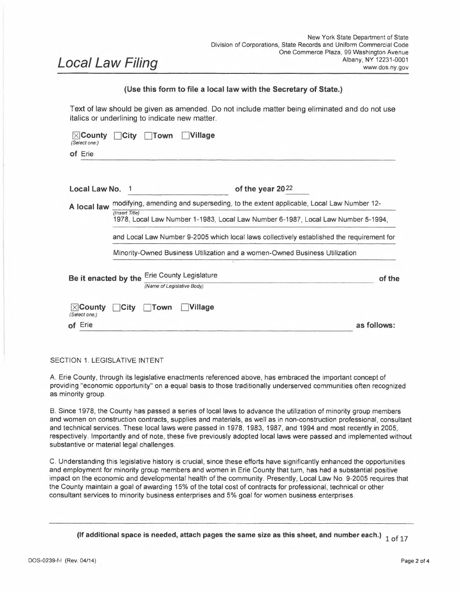Appendices annexed thereto in Volume 1, p. 302, Table A. 37, A. 38, A. 39 and A. 40 related to Western New York and the referenced Business Community Meetings held in Buffalo, New York in Table 9.1, p. 214. (Copies of the relevant excerpts have been filed with the Legislative's Clerk's office).

- E. The County Legislature hereby adopts, acknowledges and accepts the findings in the local wealth and income disparity study contained in the Racial Equity Dividend Report produced by the Greater Buffalo Racial Equity Roundtable issued in 2016.
- F. The County Legislature recognizes that the State goal for M/WBE is 30% for construction and commodities and services.
- G. The County Legislature recognizes that its County Seat, The City of Buffalo, has an M/WBE goal of 30% for its construction and commodities and services.
- H. The County Legislature hereby finds and determines that the two studies referenced above in paragraphs D and E of this Section establish that disparities exist in Erie County as to economic opportunity for minority group members and women in the award of County contracts.
- I. The Erie County Legislature further establishes the desire to conduct an Erie County disparity study and as such, directs the Division of Equal Employment Opportunity to initiate a study in accordance with section  $7(G)$  of this local law.

In summary, both the legislative history as set forth in Section <sup>1</sup> of this law and the legislative findings contained in this Section 2 provide factual predicates to support the policy to serve the best interests of the citizens of Erie County.

# **SECTION 3. DEFINITIONS**

- A. As used in this section ofthe law, the *Minority Business Enterprise* ("MBE") shall mean a for-profit business, which performs a commercially useful function, which is at least fifty one percent  $(51\%)$ , owned by a minority group member, or in the case of a publicly owned business, at least <sup>51</sup> % of all stock is owned by minority group members. For the purposes of this provision, a minority group member is <sup>a</sup> person who is a citizen or permanent resident alien of the United States who is African-American, Hispanic, Latino, Asian-American, or Native American.
- B. *Women Business Enterprise* ("WBE") shall mean a for-profit business, which performs a commercially useful function, which is at least fifty one percent (51%), owned by a woman or women, or in the case of a publicly owned business, at least a woman or women own 51% of all stock of the entity.
- C. *Minority or Women Business Enterprise* ("MWBE") shall mean a for-profit business which performs a commercially-useful function, which is at least fifty one percent (51%) owned by a minority group member or members, woman or women,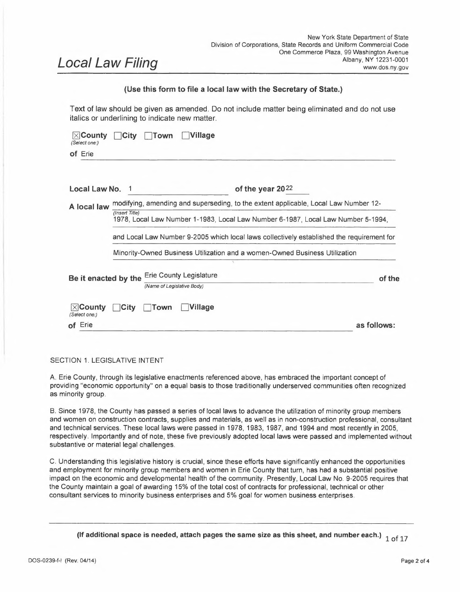or in the case of a publicly-owned business, at least <sup>51</sup> % of all stock of the entity is owned by a minority group member or members, a woman or women. Such ownership shall be certified by either the New York State Department of Economic Development, M/WBE Division or the Erie County Division of Equal Employment Opportunity after review of appropriate documents and investigation.

- D. *Subcontract* shall mean those contracts tiered under a prime-contract for County contracts awarded for construction, modification, supplies and material, professional, technical and service work contracted by the contractor in the execution of the work for the County.
- E. *Certified Business* shall mean a business verified as an MBE or WBE pursuant to Erie County local certification or under the provisions of Article 15-A of N.Y. Executive Law.
- F. *Contractor* shall mean an individual, a business enterprise including a sole proprietorship, a corporation, partnership or a limited liability company or any party with an award of a County contract or State contract.
- G. *Department* shall mean an office, department or division of Erie County government.
- H. *MWUAB* shall mean the Erie County Minority and Women Utilization Advisory Board.
- I. *Large County* shall mean Erie County or a county having a population in excess of 285,000 according to the most recent federal census.
- J. *Utilization Plan* shall mean a plan in a prescribed schedule format prepared by a Contractor and submitted in connection with a County procurement. The Utilization plan shall identify those MBE and WBE firms committed to perform work.
- K. *Erie County Disparity Study* shall mean a study commissioned by Erie County for the purposes of analyzing participation by MBEs and WBEs in Erie County contracts to determine what inequities, if any, exist. Such study shall be commenced within one hundred eighty (180) days of the passage of this Local Law and every five  $(5)$  years thereafter.
- L. *Diversity Practices* shall mean the Contractor practices, actions and policies related to the following:
	- (1) Compliance with the MBE and WBE goals;
	- (2) Efforts at employment of minority and women members in the community;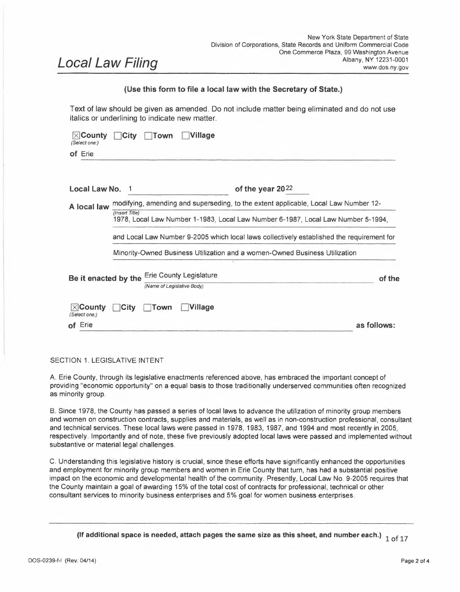- (3) Mentoring of MBE and WBE firms with a goal of developing such firms to become prime contractors;
- (4) Entering into partnerships, joint ventures or other similar arrangements with certified minority and women-owned businesses;
- (5) Participation in an apprenticeship program, if applicable; and
- (6) Compliance with The Erie County Workforce Development and Diversification New York State Certified Worker Training Program, also known as the "Apprenticeship Bill of 2018" [referencing (Local Law No. 3-2018)], if applicable.

# **SECTION 4. MINORITY AND WOMEN BUSINESS ENTERPRISE UTILIZATION COMMITMENT FOR CONSTRUCTION CONTRACTS BY THE DEPARTMENTS OF PUBLIC WORKS, PARKS, RECREATION AND FORESTRY, AND ENVIRONMENT AND PLANNING**

The following provisions shall be inserted in, and made <sup>a</sup> condition of all bid specifications or requests for proposals prepared or administered by the Erie County Department of Public Works, Erie County Department of Parks, Recreation and Forestry, and/or the Erie County Department of Environment and Planning (including its Division of Sewage Management) and advertised after the effective date of this local law for any contract estimated by the County to exceed \$100,000 in cost (the "Construction Provision").

A. Minority and Women Business Enterprise Utilization Commitment:

Contractors awarded a contract by the County in a value of \$100,000 or greater shall take action to create equal economic opportunity by utilizing bona fide MBEs and/or WBEs for subcontracting on County projects.

Such equal economic opportunity action shall include, but not be limited to:

- (1) Utilizing a source list of MBEs and WBEs compiled by the County or the State of New York;
- (2) Solicitation of bids from MBEs and WBEs, particularly those located in Erie, Niagara, Cattaraugus and Chautauqua Counties;
- (3) Giving MBEs and WBEs sufficient time to submit proposals in response to County solicitations;
- (4) Maintaining records showing MBEs and WBEs and specific efforts to identify and award contracts to these entities; and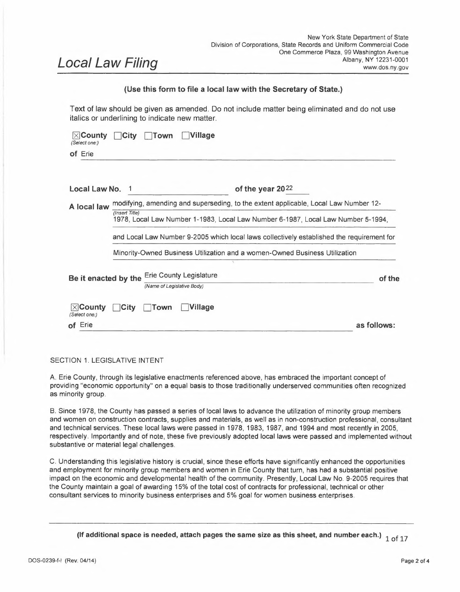- (5) A goal of awarding a certain percentage of the total dollar value of the contract to MBEs and WMBEs, which shall be promulgated by the Director of the Division of Equal Employment Opportunity ("Director of EEO") in accordance with the findings of the Erie County Disparity Study and in accordance with Section 11 of this local law.
- B. Where the MBE or WBE is a supplier, a credit of sixty percent  $(60\%)$  of the dollar value of the subcontract between the MBE or WBE and the contractor shall be awarded towards the fulfillment of the appropriate goal as set forth above, unless the supply budget for the overall project accounts for seventy-five percent (75%) or more of the total project budget, and in that instance a credit of one hundred percent (100%) of the dollar value of the subcontract between the MBE or WBE and the contractor shall be awarded towards the fulfillment of the appropriate goal. For the purposes of this provision, an MBE or WBE shall be considered a 'supplier' when it assumes actual and contractual responsibility to furnish supplies or materials and is the manufacturer of those supplies or materials; or is recognized by the manufacturer involved as a distributor of its supplies or materials; and owns or leases a facility which is necessary and customary to carry out the purported function of the business; and distributes, delivers and services the supplies or materials with its own employees.
- C. Where the MBE or WBE performs a sales function, which is customarily performed as <sup>a</sup> distinct and necessary part of the supply process, the credit shall be the exact dollar value of the broker fees or the exact percentage of the markup on the product on a subcontract between the MBE or WBE and the contractor. The sales credit will be awarded toward the fulfillment of the appropriate goal. Where the MBE or WBE performs a function or service, which is commercially unnecessary, such as acting as a passive conduit in the supply process, or duplicating a service provided by others in the same supply chain from manufacturer to purchaser, no credit will be granted toward the appropriate goal.
- D. Each Contractor bidding on a County contract shall submit to the County, with the bid, a list of all MBEs and/or WBEs with whom the Contractor has signed a binding contractual agreement, or is presently negotiating an agreement, for the purposes of meeting the minority and women business enterprise utilization goal provided for in section A(5) of this law. Such a list must be signed by the MBEs and/or WBEs with whom the Contractor is seeking to utilize. A Contractor's bid shall not be considered where the contractor fails to submit such a signed list of MBEs and/or WBEs as provided herein. A Contractor's bid shall not be considered where examination of said list of MBEs or WBEs evidences failure by the contractor to comply with the equal economic opportunity action requirements provided for herein, except that the County may, upon written request by the contractor, grant a complete or partial waiver of the provisions when the availability of MBEs or WBEs in the market area of the project is less than the goals above. Upon written request by the Contractor, the County, through its Erie County Division of Equal Employment Opportunity, may grant a complete or partial waiver of the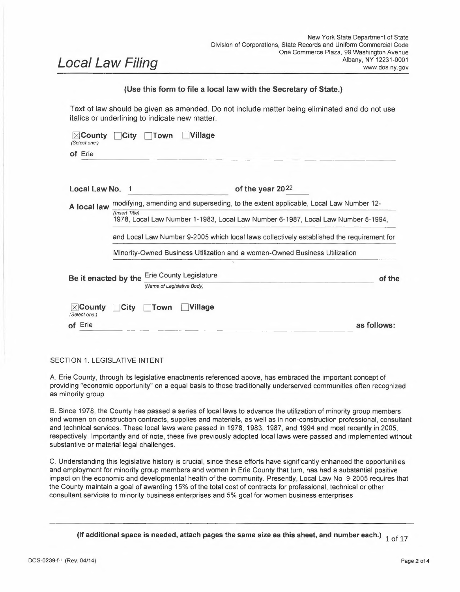requirement for subcontracting with an MBE or WBE when an MBE or WBE for the project is not available.

- E. As evidence of compliance with the goals set forth in this law, within 15 business days of the bid opening, the contractor shall submit to the County a schedule for MBE or WBE participation, including the name(s) of the MBEs and/or WBEs with whom the contractor intends to subcontract, specifying the agreed-upon price to be paid for such work, and identifying in detail the Contractor item(s) or parts to be performed by each MBE or WBE. A letter of intent to enter into a subcontract or purchase agreement, contingent upon contract award by the County, and indicating the agreed-upon price and scope of work shall be provided, signed by both the contractor and the MBE or WBE.
- F. As evidence of compliance with the goals set forth in this law, the Contractor shall provide to the County copies of all subcontracts and/or purchase agreements with MBEs or WBEs for the contract within 15 business days of the contract award. A notice to proceed with construction shall not be issued until the County receives such documentation.
- G. As evidence of compliance with the goal set forth in this law, when the project is thirty percent  $(30\%)$  complete, the Contractor shall submit a list of the MBEs or WBEs with whom the contractor has entered into a binding agreement for subcontracting under this contract to the County. The same information is required when the project is at seventy five percent (75%) completion and a final accounting must accompany the final payment request to the County.
- H. Failure to comply in good faith with the provisions set forth herein shall constitute a breach of the contract, subject to all remedies available to the County, including but not limited to the assessment of liquidated damages or other contractual penalties, as reasonable and appropriate.
- I. In the event of non-compliance with subparagraphs D, E, and <sup>F</sup> provisions by <sup>a</sup> successful low bidder Contractor, the County has the discretion to proceed with negotiations with the next two lowest or qualified bidders.
- J. All appropriate goals, ownership status, and compliance with the provisions ofthis law shall be certified by the Erie County Division of Equal Employment Opportunity after review of appropriate documents and investigation.

# **SECTION 5. MINORITY AND WOMEN BUSINESS ENTERPRISE UTILIZATION COMMITMENT FOR SUPPLIES, MATERIALS AND EQUIPMENT, ACQUIRED VIA THE DIVISION OF PURCHASE**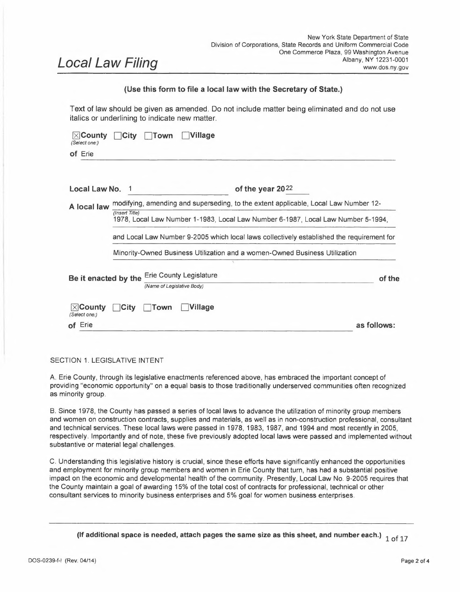The following provisions shall be made a condition of all bid specifications or requests for proposals prepared or administered by Erie County for supplies, materials and/or equipment purchased by Erie County involving an expenditure of more than \$20,000 (the "Supplier Provision").

A. Contractors awarded purchase contracts by the County involving an expenditure of more than \$20,000 for supplies, materials and equipment purchases fitting within this section shall take action to create economic opportunity by utilizing MBEs and WBEs on all contracts with the County. Consistent with Section 3, MBE and WBE firms are business entities operated for-profit.

Such equal economic opportunity action shall include, but not be limited to:

- (1) Utilizing a source list of MBEs and WBEs compiled by the County or the State of New York;
- (2) Solicitation of bids from MBEs and WBEs, particularly those located in Erie, Niagara, Cattaraugus and Chautauqua Counties;
- (3) Giving MBEs and WBEs sufficient time to submit proposals in response to County solicitations;
- (4) Maintaining records showing MBEs and WBEs and specific efforts to identify and award contracts to these entities; and
- (5) A goal of awarding <sup>a</sup> certain percentage of the total dollar value of the contract to MBEs and WMBEs, which shall be promulgated by the Director of EEO in accordance with the findings of the Erie County Disparity Study and in accordance with Section <sup>11</sup> ofthis local law.
- B. All bidders on each contract subject to this supplier provision shall submit to the Erie County Division of Equal Employment Opportunity, with the bid, a list of all MBEs and WBEs in the form of a Utilization Plan with whom the supplier has solicited bids or with whom the supplier has signed a binding contractual agreement, or with whom the supplier is presently negotiating an agreement, for the purposes of meeting the MBE and/or WBE utilization goals of this section. Such a list must be signed by the MBEs and/or WBEs with whom the supplier is seeking to utilize. A supplier's bid shall not be considered where the supplier fails to submit such a signed list of MBEs and/or WBEs as provided herein. A supplier's bid shall not be considered where examination of said list of MBEs or WBEs evidences failure by the supplier to comply with the equal economic opportunity action requirements provided for herein, except that the County may, upon written request by the supplier, grant a complete or partial waiver of the provisions when the availability of MBEs or **WB**Es in the market area ofthe project is less than the specified MBE and WBE goals in this section.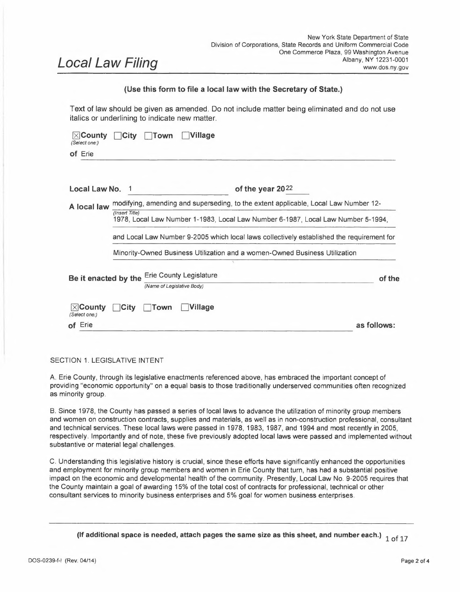- C. As evidence of compliance with the goals set forth in this law, within 15 business days of the bid opening, the supplier shall submit to the County's Division of Purchase and Division of Equal Employment Opportunity a Utilization Plan for MBE or WBE participation, including the name(s) of the MBEs and/or WBEs with whom the supplier intends to utilize, specifying the agreed-upon price to be paid for such goods and services, and identifying in detail the contract item(s) or items to be supplied by each MBE or WBE. A letter of intent to enter into a purchase agreement, contingent upon contract award by the County, and indicating the agreed-upon price and scope of work shall be provided, signed by both the supplier and the MBE or WBE. As evidence of compliance with the goals set forth in this law, the supplier shall provide to the County copies of all purchase agreements with MBEs or WBEs for the contract within 15 business days of the contract award.
- D. Failure to comply in good faith with the provisions set forth herein shall constitute a breach of the contract, subject to all remedies available to the County, including but not limited to the assessment of liquidated damages, or other contractual penalties as reasonable and appropriate.
- E. All appropriate goals, ownership status, and compliance with the provisions of this law shall be certified by the Erie County Division of Equal Employment Opportunity after review of appropriate documents and investigation.
- F. If the expenditure is less than \$20,000, the County must follow the policies and procedures as adopted in accordance with Gen. Municipal Law § 104-B.

# **SECTION 6. MINORITY AND WOMEN BUSINESS ENTERPRISE UTILIZATION COMMITMENT FOR PROFESSIONAL SERVICES, TECHNICAL SERVICES, CONSULTANT SERVICES, AND INSURANCE PROCURED BY COUNTY DEPARTMENTS**

The following provisions shall be made a condition of all bid specifications or requests for proposals prepared or administered by Erie County for professional services, technical services, consultant services, and/or insurance procured by Erie County involving an expenditure of more than \$100,000 (the "Service Provider Provision").

A. Contractors awarded contracts by the County involving an expenditure ofmore than \$100,000 for services fitting within this section shall take action to create economic opportunity by utilizing MBEs and WBEs on all contracts with the County. Consistent with Section 3, MBE and WBE firms are business entities operated forprofit.

Such equal economic opportunity action shall include, but not be limited to: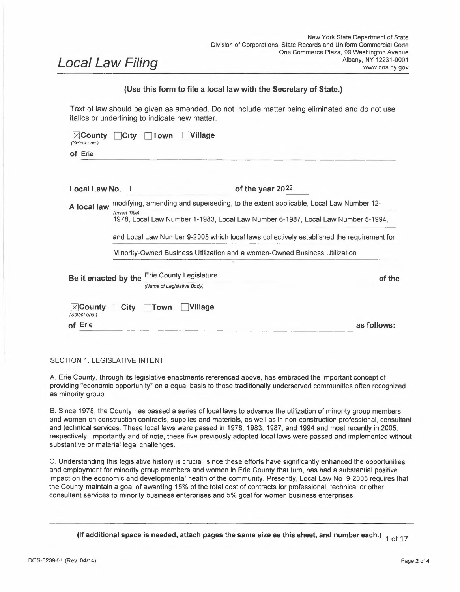- (1) Utilizing a source list of MBEs and WBEs compiled by the County or the State of New York;
- (2) Solicitation of bids from MBEs and WBEs, particularly those located in Erie, Niagara, Cattaraugus and Chautauqua Counties;
- (3) Giving MBEs and WBEs sufficient time to submit proposals in response to County solicitations;
- (4) Maintaining records showing MBEs and WBEs and specific efforts to identify and award contracts to these entities; and
- (5) A goal of awarding a certain percentage of the total dollar value of the contract to MBEs and WMBEs shall be promulgated by the Director of EEO in accordance with the findings of the Erie County Disparity Study and in accordance with Section 11 of this local law.
- B. All professional, technical, or consultant providers subject to this provision shall submit to the Erie County Division of Equal Employment Opportunity, with the proposal, a list of all MBEs and WBEs in the form of a Utilization Plan with whom the provider has solicited bids or with whom the provider has signed a binding contractual agreement, or with whom the provider is presently negotiating an agreement, for the purposes of meeting the MBE and/or WBE utilization goals of this section. Such a list must be signed by the MBEs and/or WBEs with whom the provider is seeking to utilize. A proposal shall not be considered where it fails to include such a signed list of MBEs and/or WBEs as provided herein. A proposal shall not be considered where examination of said list of MBEs or WBEs evidences failure to comply with the equal economic opportunity action requirements provided for herein, except that the County may, upon written request by the provider, grant a complete or partial waiver of the provisions when the availability of MBEs or WBEs in the market area of the project is less than the specified MBE and WBE goals in this section.
- C. As evidence of compliance with the goals set forth in this law, within <sup>15</sup> business days of the notice of award, the provider shall submit to the applicable County Department and Division of Equal Employment Opportunity a Utilization Plan for MBE or WBE participation, including the name(s) of the MBEs and/or WBEs with whom the provider intends to utilize, specifying the agreed-upon price to be paid for such goods and services, and identifying in detail the contract item(s) or items to be supplied by each MBE or WBE. A letter of intent to enter into an agreement, contingent upon contract award by the County, and indicating the agreed-upon price and scope of work shall be provided, signed by both the provider and the MBE or WBE. As evidence of compliance with the goals set forth in this law, the provider shall provide to the County copies of all agreements with MBEs or WBEs for the contract within 15 business days of the contract award.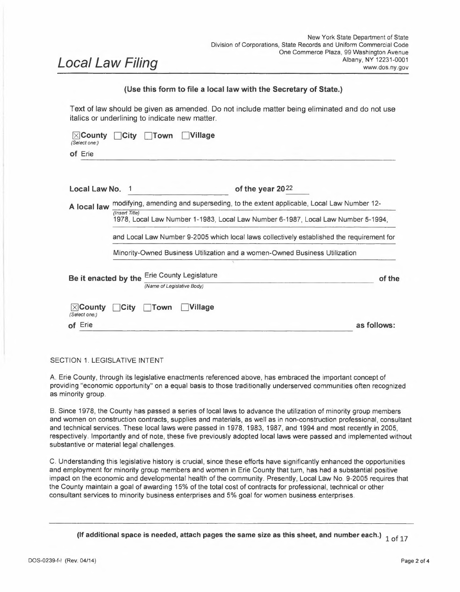- D. Failure to comply in good faith with the provisions set forth herein shall constitute a breach of the contract, subject to all remedies available to the County, including but not limited to the assessment of liquidated damages, or other contractual penalties as reasonable and appropriate.
- E. All appropriate goals, ownership status, and compliance with the provisions of this law shall be certified by the Erie County Division of Equal Employment Opportunity after review of appropriate documents and investigation.

# **SECTION 7. REPORTING REQUIREMENTS FOR COUNTY DEPARTMENTS**

In furtherance of Local Law Number 9-2005, the following provisions shall update, modify and amend such Local Law as set forth herein.

- A. Upon completion of the Erie County Disparity Study, every County Department shall annually prepare and implement a written MWBE Utilization Plan for the utilization goals for minority and women owned business participation on County contracts, excluding any not-for-profit contracting procurements, let by or on behalf of such Department. The Plan shall be submitted to the Erie County Division of Equal Employment Opportunity for review and approval by September 15 annually.
- B. The County Division of Equal Employment Opportunity shall submit a summary of each Department's annual written plan to the Legislature and the MWUAB simultaneously with the annual proposed Budget. The plans are not to be considered as a part of the proposed annual budget process.
- C. The Erie County Legislature shall hold an annual hearing in its Minority and Women Business Enterprise Committee concerning the annual written plans submitted by Departments.
- D. The Division of Equal Employment Opportunity shall also prepare a bi-annual report on each Department's goal achievement, including each Department's good faith efforts to reach those goals. The bi-annual report shall be submitted to the County Executive, the Legislature, and the MWUAB.
- E. Each Department shall make good faith efforts to achieve the goal(s) as set forth by the Director of EEO in accordance with the findings of the Erie County Disparity Study.
- F. Failure by any Department to submit any reports required by this Local Law shall be grounds for discipline by the County Executive, except for those Departments whose heads are elected, and in that instance, the County Legislature shall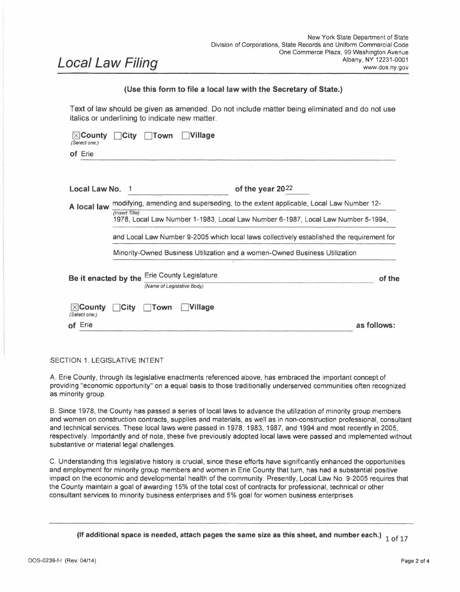determine the appropriate remedy for non-compliance with the provisions of this Law.

- G. No later than one-hundred eighty (180) days after the passage of this Local Law, the Division of Equal Employment Opportunity, in consultation with the MWUAB, shall advertise a Request for Proposals to conduct a County-wide Disparity Study and shall do so every five (5) years thereafter.
- H. The County Legislature and County Executive shall mutually determine the necessary funding to accomplish the purposes of this Local Law during the annual budget process, including but not limited to the costs of any Disparity Studies contemplated herein.

# **SECTION 8. WORKFORCE DIVERSITY PROGRAM**

- A. Definitions: As used in this law under this Section, the following terms are defined below:
	- (1) *Minority Group Member* shall mean a United States Citizen or permanent resident alien who can establish and demonstrate membership in the following group:
		- (a) Black or African-American having origins in any of the Black African racial groups;
		- (b) Hispanic / Latino persons of Mexican, Puerto Rican, Dominican, Cuban, Central or South American of either Indian, African or Hispanic origin;
		- (c) Native American or Alaskan native persons having origins in any of the original peoples of North America;
		- (d) Asian and Pacific Islander persons having origins in any of the Far East Countries, South-East Asia or Pacific Islands; and
		- (e) Women from all racial groups.
	- (2) *Executive Order No. 18* shall mean that certain Executive Order entitled *"Erie County Construction Bid Documents shall include Local and Disadvantaged Worker Requirements"* signed by County Executive Mark C. Poloncarz on September 27, 2017.
	- (3) *Disadvantaged Groups* shall mean collectively "disadvantaged workers" as that term is defined in Executive Order No.  $18$  at par.  $1(c)$ , for the purposes of including such individual groups for this Section. Specifically, a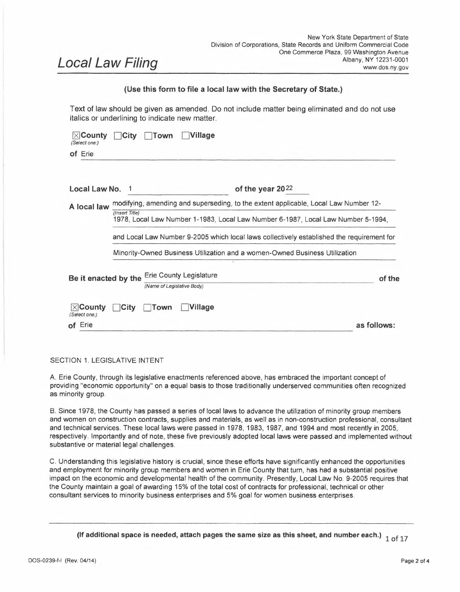disadvantaged worker is a resident who has a household income below 50% of the Area Median Income ("AMI"); or has been released from prison within the last 10 years; or participates in the Temporary Assistance for Needy Families program; or participates in the Supplemental Nutrition Assistance Program; or has been unemployed for at least 12 consecutive months. The applicable zip codes as referenced in the Executive Order No. <sup>18</sup> as cited above will be determined annually by Erie County Division of Equal Employment Opportunity.

- B. As evidenced by the history of local laws in this subject matter area as recited previously in Section <sup>1</sup> hereof and the Executive Order No. 18 signed by County Executive Poloncarz for Construction, the County encourages aspirational goals for the utilization of disadvantaged groups inclusive of minority group members and women in construction, supplier industry, professional, technical and occupations. To further that policy goal and incorporate the spirit and intent of Executive Order No. 18 into this law, there shall be Workforce Participation goals in the award of County Contracts established by the County Department for contracts in excess of \$250,000 for construction and related supplies and \$100,000 for the professional, technical and occupations.
	- (1) Each Department shall strive to meet aspirational goals as set forth in par. <sup>2</sup> below and such goals shall be set forth in its invitation for bids, request for proposals and other solicitations that will result in an award of \$250,000 for construction and \$100,000 for the provision of goods and services shall set forth the expected degree of workforce participation by minority group members, women and those individuals described in the Executive Order No. 18 issued by County Executive Poloncarz related to construction services specifically.
	- (2) Based on the Executive Order No. 18, par. <sup>1</sup> (c), a Workforce Participation goal of20% oftotal work hours performed during the contract award period for the provision of goods and services is hereby determined to be applicable to this Section. Notwithstanding this Section, Executive Order No. 18 is not repealed, amended or modified by this law.
	- (3) Departments seeking to meet the aspirational workforce participation goals of 20% shall consider factors including but not limited to the following:
		- (a) the findings in the 2016 Disparity Study with specific references to the Buffalo and Western New York region and the 2016 Greater Buffalo Racial Equity Study;
		- (b) United States Census Bureau data; and
		- (c) Local unemployment and poverty level data.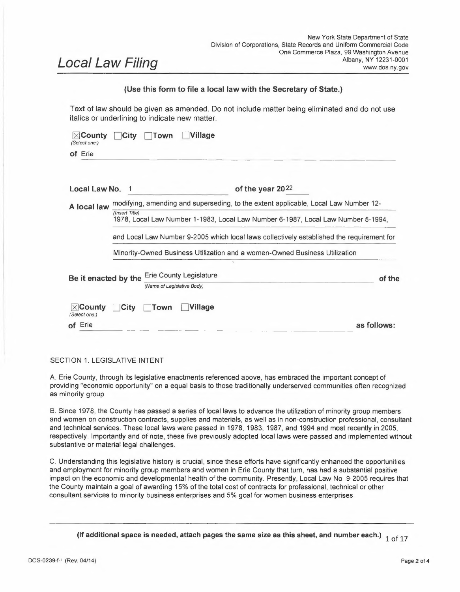- (4) Every Contractor responding to an invitation for bids, request for proposals or other solicitation resulting in a contract award from a County Department shall agree to the workforce participation goals in this Section and make good faith efforts to achieve the workforce participation goal or request a waiver from such goal.
	- (a) Contractor shall sign a certification prepared by the Erie County Division of Equal Employment Opportunity as to the good faith efforts.
	- (b) Any Contractor may submit a waiver request to this Section in writing to the Division of Equal Employment Opportunity. Each waiver request must be supported by appropriate documentation evidencing good faith efforts as to compliance.
	- (c) In the event that a Contractor is not able to meet the M/WBE goals, the Director of EEO may permit the workforce participation efforts to be credited towards any shortfalls in meeting the M/WBE participation goals, as deemed appropriate and with documented evidence of good faith compliance. The degree to which the workforce participation efforts may be counted towards the M/WBE goals shall be promulgated by the Rules and Regulations as described in Section <sup>11</sup> herein.

### **SECTION 9. MINORITY AND WOMEN UTILIZATION ADVISORY BOARD**

Erie County Charter Section 1703 establishes the Minority and Women Utilization Advisory Board ("MWUAB"), whose mission, among other matters, is to evaluate and review the adequacy of the County's efforts on behalf of Minority and Women's Business Enterprises.

- A. To the extent necessary and applicable, Local Law Number 1-1983, Section 2, thereof, shall be modified, amended and updated as follows:
	- (1) MWUAB is hereby tasked with reviewing program administration and implementation of this law including handling of any administrative appeals for non-compliance sanctions and shall submit an annual report to the Erie County Legislature.
	- (2) MWUAB shall appoint, among its members, a designated hearing committee for administrative appeals involving the subject matter of diversity compliance.
	- (3) MWUAB shall have its members appointed by the County Executive, consistent with Local Law Number 1-1983. The County Executive shall 14 of 17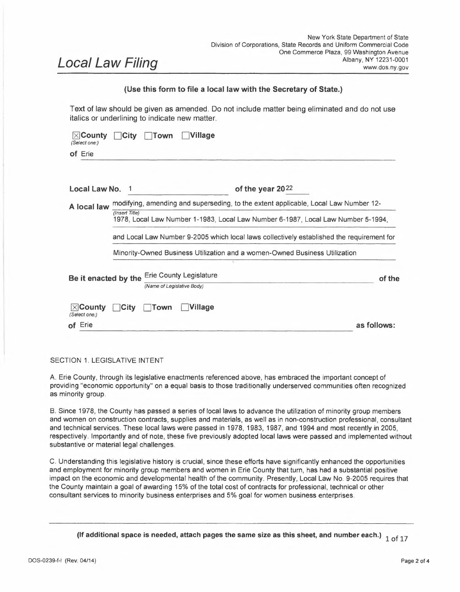provide a copy of the appointees to the County Legislature within thirty days of appointment.

(4) MWUAB shall retain, after consultation with and approval by the Department of Law, outside consultants and professionals as required to accomplish its mission and shall be empowered to promulgate rules for the administration of this Section 9.

# **SECTION 10. SANCTIONS FOR NON-COMPLIANCE**

As set forth in Section <sup>1</sup> of this law, the County has expressed a strong policy objective and intent to provide opportunity for meaningful participation in County contract awards. Further, as set forth in Section 2, the County has made certain legislative determinations in support of the policy directives contained herein.

- A. To accomplish that objective, each County contracting Department shall include a provision in its respective contracts that any Contractor who willfully and intentionally fails to comply with the MBE and WBE provisions of this law shall be liable to the County Department contracting entity for liquidated or other appropriate damages on account of such contractual breach. Any such assessment of liquidated damages, other appropriate contractual sanction or alternative nonmonetary sanction and penalty, such as a designation as a non-responsible bidder, shall be considered as a relevant factor in future County procurement opportunities.
- B. Each Contractor shall agree and consent upon acceptance of an award of a County contract to be bound by terms of compliance with the law including any associated sanctions.
- C. Not less than five days after receipt of a written provisional determination by a County Department that the Contractor has failed to comply with this Local Law, the Contractor shall receive a notice setting forth the rationale for the provisional determination, along with the time, date and place for the Contractor to appear and be heard on the provisional determination.
- D. At the designated time and place set forth in the notice, the Contractor may challenge the reasons for the County Department's provisional determination in person, with or without counsel, by appearing before the MWUAB's designated hearing committee as described in Section 9. No member of the designated hearing committee shall be an elected legislator.
- E. The MWUAB shall render its decision and make a recommendation to the Erie County Division of Equal Employment Opportunity and the Erie County Department of Law on whether or not to issue sanctions within forty-five (45) days after the presentation by the Contractor and the Department who made the provisional determination.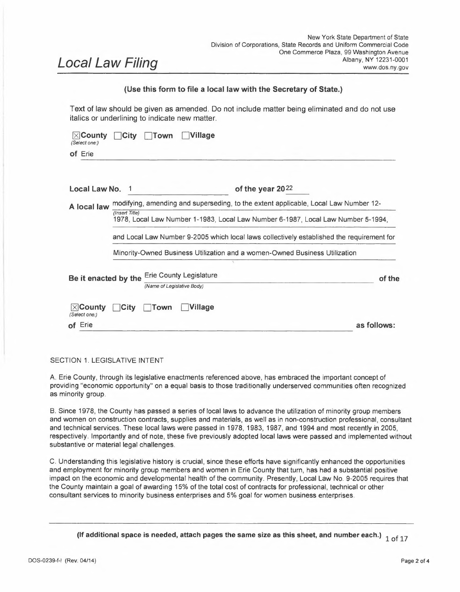- F. The County Department of Law will review the recommendation of the MWUAB in consultation with the Erie County Division of Equal Employment Opportunity and institute proper proceedings for the imposition of sanctions.
- G. If <sup>a</sup> County contractor/vendor/supplier asserts or claims <sup>a</sup> MWBE or workforce diversity status that is not accurate during its contract with the County, the County will note this factor and consider the non-compliance as a relevant factor in evaluating the vendor in future procurement opportunities. Said non-compliance may be a factor in determining that the vendor is not a responsible bidder for purposes of County contracting.
- H. The sanctions set forth in this Section are imposed if there is willful conduct and intentional conduct or <sup>a</sup> lack of having obtained necessary waivers and other evidence of good faith compliance.

# **SECTION 11. RULES AND REGULATIONS**

- A. Upon the completion of the Erie County Disparity Study and pursuant to paragraph 7(G) herein, the Division of Equal Employment Opportunity, in conjunction with the County Law Department, shall promulgate Rules and Regulations related to the implementation, guidance and enforcement of this Local Law. The Rules and Regulations shall also establish the MBE and WBE utilization goals to be awarded MWBEs in each of the respective areas (construction, supplies and professional services) based upon the findings of the Erie County Disparity Study.
- B. The Director of EEO shall file a copy of the Rules and Regulations with the Clerk of the County Legislature within sixty (60) calendar days of the completion of each Erie County Disparity Study. At the time of filing, any updated MWBE participation goals shall go into effect and remain as such unless and until the findings of a future disparity study warrants further changes.

# **SECTION 12. SEVERABILITY**

If any clause, sentence, paragraph, subdivision, section or part of this law or the application thereof to any person, individual, corporation, firm, partnership, or business shall be adjudged by any court of competent jurisdiction to be invalid or unconstitutional, such order or judgment shall not affect, impair or invalidate the remainder thereof but shall be confined in its operation to the clause, sentence, paragraph, subdivision, section or part of this law, or in its specific application.

# **SECTION 13. EFFECTIVE DATE**

This Local Law shall take effect thirty (30) days after the filing with the Secretary of State, in accordance with Section 27 of the New York State Municipal Home Rule.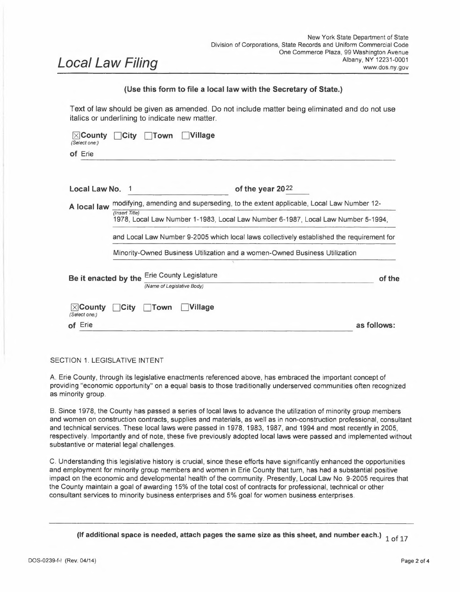# **SPONSORS:**

April N.M. Baskin Howard Johnson Jeanne Vinal Lisa Chimera Timothy J. Meyers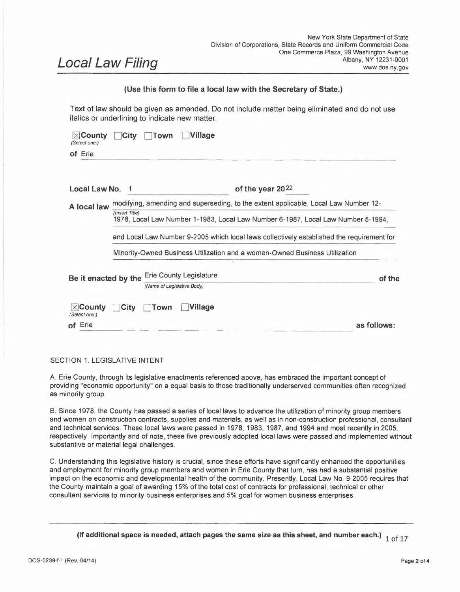## **(Complete the certification in the paragraph that applies to the filing of this local law and strike out that which is not applicable.)**

| (Complete the certification in the paragraph that applies to the filing of this local law and                                                                                                                                                                                                                                                              | strike out that which is not applicable.)                                                  |                                          |
|------------------------------------------------------------------------------------------------------------------------------------------------------------------------------------------------------------------------------------------------------------------------------------------------------------------------------------------------------------|--------------------------------------------------------------------------------------------|------------------------------------------|
| 1. (Final adoption by local legislative body only.)                                                                                                                                                                                                                                                                                                        |                                                                                            |                                          |
|                                                                                                                                                                                                                                                                                                                                                            |                                                                                            | on 20 jin accordance with the applicable |
| (Name of Legislative Body)                                                                                                                                                                                                                                                                                                                                 |                                                                                            |                                          |
| provisions of law.                                                                                                                                                                                                                                                                                                                                         |                                                                                            |                                          |
| 2. (Passage by local legislative body with approval, no disapproval or repassage after disapproval by the Elective<br><b>Chief Executive Officer*.)</b>                                                                                                                                                                                                    |                                                                                            |                                          |
| I hereby certify that the local law annexed hereto, designated as local law No. 1                                                                                                                                                                                                                                                                          |                                                                                            | of $20^{22}$ of                          |
| the County)(City)(Tewn)(Village) of Erie was duly passed by the was duly passed by the was duly passed by the<br>Erie County Legislature on December 16 20 <sup>21</sup> , and was approved)(net approved)                                                                                                                                                 |                                                                                            |                                          |
|                                                                                                                                                                                                                                                                                                                                                            |                                                                                            |                                          |
| (Name of Legislative Body)                                                                                                                                                                                                                                                                                                                                 |                                                                                            |                                          |
|                                                                                                                                                                                                                                                                                                                                                            |                                                                                            |                                          |
|                                                                                                                                                                                                                                                                                                                                                            | Erie County Executive<br>Elective Chief Executive Officer*)<br>and was deemed duly adopted |                                          |
| (repassed after disapproval) by the Erie County Executive<br>on $\frac{\text{January 11}}{20\ 2\ 2}$ , in accordance w ith the applicable provisions of law.<br>3. (Final adoption by referendum.)                                                                                                                                                         |                                                                                            |                                          |
|                                                                                                                                                                                                                                                                                                                                                            |                                                                                            |                                          |
| (Name of Legislative Body)                                                                                                                                                                                                                                                                                                                                 |                                                                                            |                                          |
|                                                                                                                                                                                                                                                                                                                                                            |                                                                                            |                                          |
| Such local law was submitted to the people by reason of a (mandatory)(permissive) referendum, and received the affirmative<br>vote of a majority of the qualified electors voting thereon at the (general)(special)(annual) election held on <b>wase of the contract of the contract</b><br>20 _____, in accordance with the applicable provisions of law. |                                                                                            |                                          |
| 4. (Subject to permissive referendum and final adoption because no valid petition was filed requesting referendum.)<br>I hereby certify that the local law annexed hereto, designated as local law No. ________________________of 20_______ of                                                                                                             |                                                                                            |                                          |
|                                                                                                                                                                                                                                                                                                                                                            |                                                                                            |                                          |
|                                                                                                                                                                                                                                                                                                                                                            |                                                                                            |                                          |
| come on 20 and was (approved) (not approved)<br>(Name of Legislative Body)                                                                                                                                                                                                                                                                                 |                                                                                            |                                          |
|                                                                                                                                                                                                                                                                                                                                                            |                                                                                            |                                          |

<sup>\*</sup> Elective Chief Executive Officer means or includes the chief executive officer of <sup>a</sup> county elected on <sup>a</sup> county-wide basis or, if there be none, the chairperson of the county legislative body, the mayor of <sup>a</sup> city or village, or the supervisor of <sup>a</sup> town where such officer is vested with the power to approve or veto local laws or ordinances.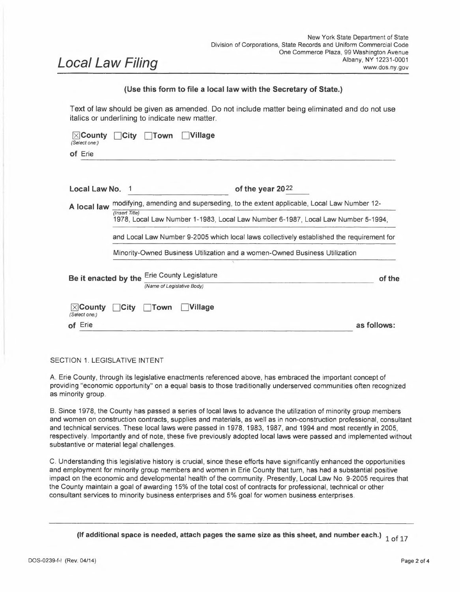# **5. (City local law concerning Charter revision proposed by petition.)** <sup>I</sup> hereby certify that the local law annexed hereto, designated as local law No. of2Oof the City of **having been submitted to referendum pursuant to the provisions of section (36)(37) of** the Municipal Home Rule Law, and having received the affirmative vote of a majority of the qualified electors of such city voting thereon at the (special)(general) election held on20,became operative.

# **6. (County local law concerning adoption of Charter.)**

<sup>I</sup> hereby certify that the local law annexed hereto, designated as local law No. of 20 of the County ofState of New York, having been submitted to the electors at the General Election of November 20,pursuant to subdivisions <sup>5</sup> and <sup>7</sup> of section <sup>33</sup> of the Municipal Home Rule Law, and having received the affirmative vote of a majority of the qualified electors of the cities of said county as a unit and a majority of the qualified electors of the towns of said county considered as a unit voting at said general election, became operative.

| (If any other authorized form of final adoption has been followed, please provide an appropriate certification.)               |  |
|--------------------------------------------------------------------------------------------------------------------------------|--|
| I further certify that I have compared the preceding local law with the original on file in this office and that the same is a |  |
| correct transcript therefrom and of the whole of such original local law, and was finally adopted in the manner indicated in   |  |
| $paragraph$ $2$ above.                                                                                                         |  |
|                                                                                                                                |  |

Clerk of the county legislative body, City, Town or Village Clerk or Date: officer designated by local legislative body<br>Date:  $1/2$ 

*(Seal)*